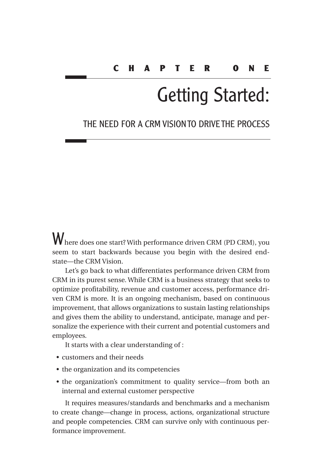# Getting Started:

## THE NEED FOR A CRM VISION TO DRIVE THE PROCESS

Where does one start? With performance driven CRM (PD CRM), you seem to start backwards because you begin with the desired endstate—the CRM Vision.

Let's go back to what differentiates performance driven CRM from CRM in its purest sense. While CRM is a business strategy that seeks to optimize profitability, revenue and customer access, performance driven CRM is more. It is an ongoing mechanism, based on continuous improvement, that allows organizations to sustain lasting relationships and gives them the ability to understand, anticipate, manage and personalize the experience with their current and potential customers and employees.

It starts with a clear understanding of :

- customers and their needs
- the organization and its competencies
- the organization's commitment to quality service—from both an internal and external customer perspective

It requires measures/standards and benchmarks and a mechanism to create change—change in process, actions, organizational structure and people competencies. CRM can survive only with continuous performance improvement.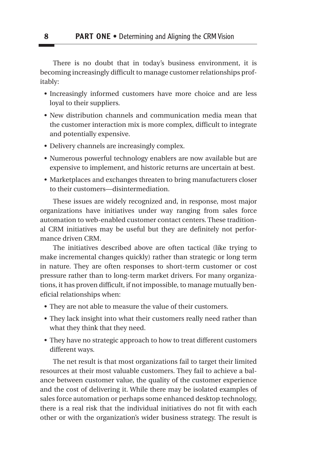There is no doubt that in today's business environment, it is becoming increasingly difficult to manage customer relationships profitably:

- Increasingly informed customers have more choice and are less loyal to their suppliers.
- New distribution channels and communication media mean that the customer interaction mix is more complex, difficult to integrate and potentially expensive.
- Delivery channels are increasingly complex.
- Numerous powerful technology enablers are now available but are expensive to implement, and historic returns are uncertain at best.
- Marketplaces and exchanges threaten to bring manufacturers closer to their customers—disintermediation.

These issues are widely recognized and, in response, most major organizations have initiatives under way ranging from sales force automation to web-enabled customer contact centers. These traditional CRM initiatives may be useful but they are definitely not performance driven CRM.

The initiatives described above are often tactical (like trying to make incremental changes quickly) rather than strategic or long term in nature. They are often responses to short-term customer or cost pressure rather than to long-term market drivers. For many organizations, it has proven difficult, if not impossible, to manage mutually beneficial relationships when:

- They are not able to measure the value of their customers.
- They lack insight into what their customers really need rather than what they think that they need.
- They have no strategic approach to how to treat different customers different ways.

The net result is that most organizations fail to target their limited resources at their most valuable customers. They fail to achieve a balance between customer value, the quality of the customer experience and the cost of delivering it. While there may be isolated examples of sales force automation or perhaps some enhanced desktop technology, there is a real risk that the individual initiatives do not fit with each other or with the organization's wider business strategy. The result is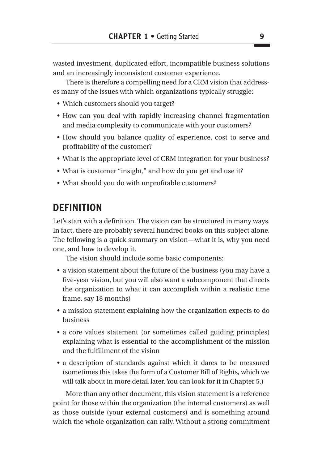wasted investment, duplicated effort, incompatible business solutions and an increasingly inconsistent customer experience.

There is therefore a compelling need for a CRM vision that addresses many of the issues with which organizations typically struggle:

- Which customers should you target?
- How can you deal with rapidly increasing channel fragmentation and media complexity to communicate with your customers?
- How should you balance quality of experience, cost to serve and profitability of the customer?
- What is the appropriate level of CRM integration for your business?
- What is customer "insight," and how do you get and use it?
- What should you do with unprofitable customers?

#### **DEFINITION**

Let's start with a definition. The vision can be structured in many ways. In fact, there are probably several hundred books on this subject alone. The following is a quick summary on vision—what it is, why you need one, and how to develop it.

The vision should include some basic components:

- a vision statement about the future of the business (you may have a five-year vision, but you will also want a subcomponent that directs the organization to what it can accomplish within a realistic time frame, say 18 months)
- a mission statement explaining how the organization expects to do business
- a core values statement (or sometimes called guiding principles) explaining what is essential to the accomplishment of the mission and the fulfillment of the vision
- a description of standards against which it dares to be measured (sometimes this takes the form of a Customer Bill of Rights, which we will talk about in more detail later. You can look for it in Chapter 5.)

More than any other document, this vision statement is a reference point for those within the organization (the internal customers) as well as those outside (your external customers) and is something around which the whole organization can rally. Without a strong commitment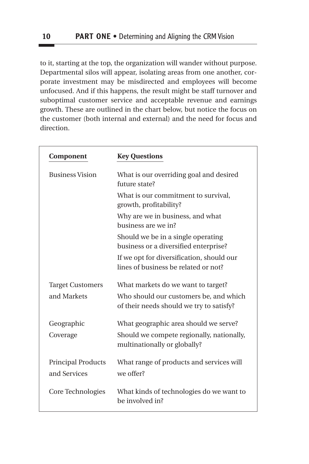to it, starting at the top, the organization will wander without purpose. Departmental silos will appear, isolating areas from one another, corporate investment may be misdirected and employees will become unfocused. And if this happens, the result might be staff turnover and suboptimal customer service and acceptable revenue and earnings growth. These are outlined in the chart below, but notice the focus on the customer (both internal and external) and the need for focus and direction.

| <b>Component</b>                          | <b>Key Questions</b>                                                               |
|-------------------------------------------|------------------------------------------------------------------------------------|
| <b>Business Vision</b>                    | What is our overriding goal and desired<br>future state?                           |
|                                           | What is our commitment to survival,<br>growth, profitability?                      |
|                                           | Why are we in business, and what<br>business are we in?                            |
|                                           | Should we be in a single operating<br>business or a diversified enterprise?        |
|                                           | If we opt for diversification, should our<br>lines of business be related or not?  |
| <b>Target Customers</b>                   | What markets do we want to target?                                                 |
| and Markets                               | Who should our customers be, and which<br>of their needs should we try to satisfy? |
| Geographic                                | What geographic area should we serve?                                              |
| Coverage                                  | Should we compete regionally, nationally,<br>multinationally or globally?          |
| <b>Principal Products</b><br>and Services | What range of products and services will<br>we offer?                              |
| Core Technologies                         | What kinds of technologies do we want to<br>be involved in?                        |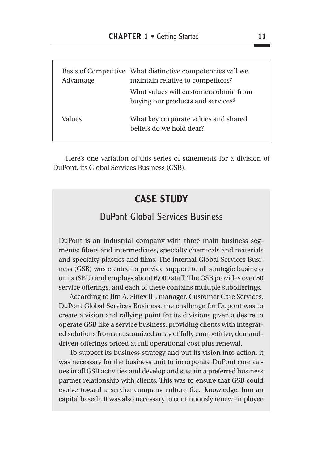| Advantage | Basis of Competitive What distinctive competencies will we<br>maintain relative to competitors?<br>What values will customers obtain from<br>buying our products and services? |
|-----------|--------------------------------------------------------------------------------------------------------------------------------------------------------------------------------|
| Values    | What key corporate values and shared<br>beliefs do we hold dear?                                                                                                               |

Here's one variation of this series of statements for a division of DuPont, its Global Services Business (GSB).

## **CASE STUDY**

# DuPont Global Services Business

DuPont is an industrial company with three main business segments: fibers and intermediates, specialty chemicals and materials and specialty plastics and films. The internal Global Services Business (GSB) was created to provide support to all strategic business units (SBU) and employs about 6,000 staff. The GSB provides over 50 service offerings, and each of these contains multiple subofferings.

According to Jim A. Sinex III, manager, Customer Care Services, DuPont Global Services Business, the challenge for Dupont was to create a vision and rallying point for its divisions given a desire to operate GSB like a service business, providing clients with integrated solutions from a customized array of fully competitive, demanddriven offerings priced at full operational cost plus renewal.

To support its business strategy and put its vision into action, it was necessary for the business unit to incorporate DuPont core values in all GSB activities and develop and sustain a preferred business partner relationship with clients. This was to ensure that GSB could evolve toward a service company culture (i.e., knowledge, human capital based). It was also necessary to continuously renew employee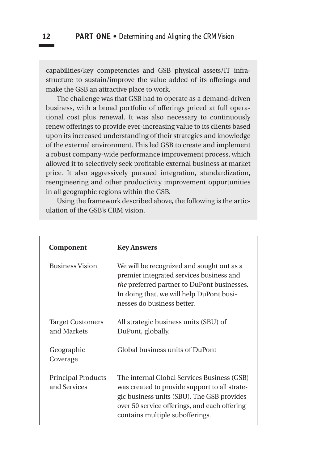capabilities/key competencies and GSB physical assets/IT infrastructure to sustain/improve the value added of its offerings and make the GSB an attractive place to work.

The challenge was that GSB had to operate as a demand-driven business, with a broad portfolio of offerings priced at full operational cost plus renewal. It was also necessary to continuously renew offerings to provide ever-increasing value to its clients based upon its increased understanding of their strategies and knowledge of the external environment. This led GSB to create and implement a robust company-wide performance improvement process, which allowed it to selectively seek profitable external business at market price. It also aggressively pursued integration, standardization, reengineering and other productivity improvement opportunities in all geographic regions within the GSB.

Using the framework described above, the following is the articulation of the GSB's CRM vision.

| Component                                 | <b>Key Answers</b>                                                                                                                                                                                                            |
|-------------------------------------------|-------------------------------------------------------------------------------------------------------------------------------------------------------------------------------------------------------------------------------|
| <b>Business Vision</b>                    | We will be recognized and sought out as a<br>premier integrated services business and<br><i>the</i> preferred partner to DuPont businesses.<br>In doing that, we will help DuPont busi-<br>nesses do business better.         |
| <b>Target Customers</b><br>and Markets    | All strategic business units (SBU) of<br>DuPont, globally.                                                                                                                                                                    |
| Geographic<br>Coverage                    | Global business units of DuPont                                                                                                                                                                                               |
| <b>Principal Products</b><br>and Services | The internal Global Services Business (GSB)<br>was created to provide support to all strate-<br>gic business units (SBU). The GSB provides<br>over 50 service offerings, and each offering<br>contains multiple subofferings. |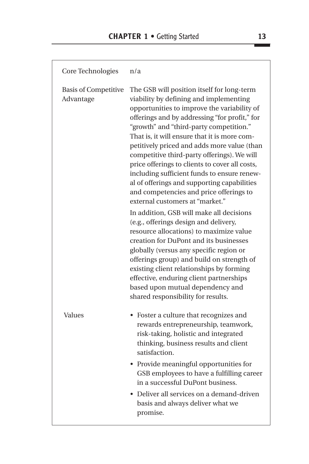| Core Technologies                        | n/a                                                                                                                                                                                                                                                                                                                                                                                                                                                                                                                                                                                                         |
|------------------------------------------|-------------------------------------------------------------------------------------------------------------------------------------------------------------------------------------------------------------------------------------------------------------------------------------------------------------------------------------------------------------------------------------------------------------------------------------------------------------------------------------------------------------------------------------------------------------------------------------------------------------|
| <b>Basis of Competitive</b><br>Advantage | The GSB will position itself for long-term<br>viability by defining and implementing<br>opportunities to improve the variability of<br>offerings and by addressing "for profit," for<br>"growth" and "third-party competition."<br>That is, it will ensure that it is more com-<br>petitively priced and adds more value (than<br>competitive third-party offerings). We will<br>price offerings to clients to cover all costs,<br>including sufficient funds to ensure renew-<br>al of offerings and supporting capabilities<br>and competencies and price offerings to<br>external customers at "market." |
|                                          | In addition, GSB will make all decisions<br>(e.g., offerings design and delivery,<br>resource allocations) to maximize value<br>creation for DuPont and its businesses<br>globally (versus any specific region or<br>offerings group) and build on strength of<br>existing client relationships by forming<br>effective, enduring client partnerships<br>based upon mutual dependency and<br>shared responsibility for results.                                                                                                                                                                             |
| Values                                   | • Foster a culture that recognizes and<br>rewards entrepreneurship, teamwork,<br>risk-taking, holistic and integrated<br>thinking, business results and client<br>satisfaction.<br>• Provide meaningful opportunities for                                                                                                                                                                                                                                                                                                                                                                                   |
|                                          | GSB employees to have a fulfilling career<br>in a successful DuPont business.<br>• Deliver all services on a demand-driven<br>basis and always deliver what we<br>promise.                                                                                                                                                                                                                                                                                                                                                                                                                                  |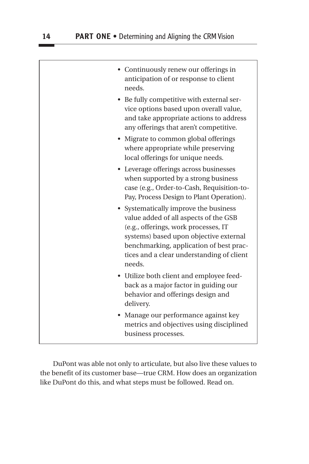| • Continuously renew our offerings in<br>anticipation of or response to client<br>needs.                                                                                                                                                                           |
|--------------------------------------------------------------------------------------------------------------------------------------------------------------------------------------------------------------------------------------------------------------------|
| • Be fully competitive with external ser-<br>vice options based upon overall value,<br>and take appropriate actions to address<br>any offerings that aren't competitive.                                                                                           |
| • Migrate to common global offerings<br>where appropriate while preserving<br>local offerings for unique needs.                                                                                                                                                    |
| • Leverage offerings across businesses<br>when supported by a strong business<br>case (e.g., Order-to-Cash, Requisition-to-<br>Pay, Process Design to Plant Operation).                                                                                            |
| • Systematically improve the business<br>value added of all aspects of the GSB<br>(e.g., offerings, work processes, IT<br>systems) based upon objective external<br>benchmarking, application of best prac-<br>tices and a clear understanding of client<br>needs. |
| • Utilize both client and employee feed-<br>back as a major factor in guiding our<br>behavior and offerings design and<br>delivery.                                                                                                                                |
| • Manage our performance against key<br>metrics and objectives using disciplined<br>business processes.                                                                                                                                                            |

DuPont was able not only to articulate, but also live these values to the benefit of its customer base—true CRM. How does an organization like DuPont do this, and what steps must be followed. Read on.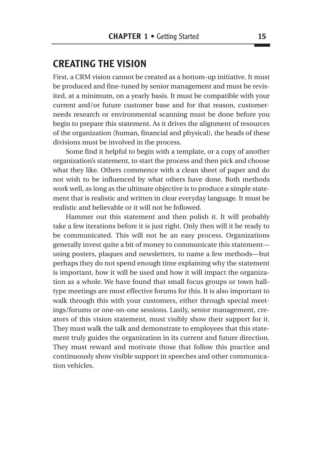#### **CREATING THE VISION**

First, a CRM vision cannot be created as a bottom-up initiative. It must be produced and fine-tuned by senior management and must be revisited, at a minimum, on a yearly basis. It must be compatible with your current and/or future customer base and for that reason, customerneeds research or environmental scanning must be done before you begin to prepare this statement. As it drives the alignment of resources of the organization (human, financial and physical), the heads of these divisions must be involved in the process.

Some find it helpful to begin with a template, or a copy of another organization's statement, to start the process and then pick and choose what they like. Others commence with a clean sheet of paper and do not wish to be influenced by what others have done. Both methods work well, as long as the ultimate objective is to produce a simple statement that is realistic and written in clear everyday language. It must be realistic and believable or it will not be followed.

Hammer out this statement and then polish it. It will probably take a few iterations before it is just right. Only then will it be ready to be communicated. This will not be an easy process. Organizations generally invest quite a bit of money to communicate this statement using posters, plaques and newsletters, to name a few methods—but perhaps they do not spend enough time explaining why the statement is important, how it will be used and how it will impact the organization as a whole. We have found that small focus groups or town halltype meetings are most effective forums for this. It is also important to walk through this with your customers, either through special meetings/forums or one-on-one sessions. Lastly, senior management, creators of this vision statement, must visibly show their support for it. They must walk the talk and demonstrate to employees that this statement truly guides the organization in its current and future direction. They must reward and motivate those that follow this practice and continuously show visible support in speeches and other communication vehicles.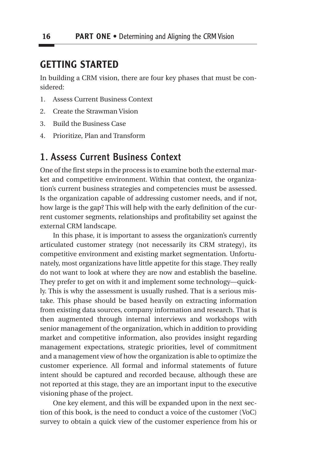#### **GETTING STARTED**

In building a CRM vision, there are four key phases that must be considered:

- 1. Assess Current Business Context
- 2. Create the Strawman Vision
- 3. Build the Business Case
- 4. Prioritize, Plan and Transform

#### 1. Assess Current Business Context

One of the first steps in the process is to examine both the external market and competitive environment. Within that context, the organization's current business strategies and competencies must be assessed. Is the organization capable of addressing customer needs, and if not, how large is the gap? This will help with the early definition of the current customer segments, relationships and profitability set against the external CRM landscape.

In this phase, it is important to assess the organization's currently articulated customer strategy (not necessarily its CRM strategy), its competitive environment and existing market segmentation. Unfortunately, most organizations have little appetite for this stage. They really do not want to look at where they are now and establish the baseline. They prefer to get on with it and implement some technology—quickly. This is why the assessment is usually rushed. That is a serious mistake. This phase should be based heavily on extracting information from existing data sources, company information and research. That is then augmented through internal interviews and workshops with senior management of the organization, which in addition to providing market and competitive information, also provides insight regarding management expectations, strategic priorities, level of commitment and a management view of how the organization is able to optimize the customer experience. All formal and informal statements of future intent should be captured and recorded because, although these are not reported at this stage, they are an important input to the executive visioning phase of the project.

One key element, and this will be expanded upon in the next section of this book, is the need to conduct a voice of the customer (VoC) survey to obtain a quick view of the customer experience from his or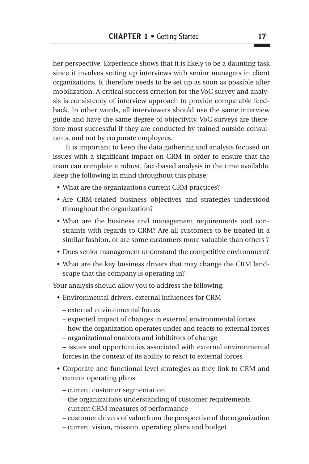her perspective. Experience shows that it is likely to be a daunting task since it involves setting up interviews with senior managers in client organizations. It therefore needs to be set up as soon as possible after mobilization. A critical success criterion for the VoC survey and analysis is consistency of interview approach to provide comparable feedback. In other words, all interviewers should use the same interview guide and have the same degree of objectivity. VoC surveys are therefore most successful if they are conducted by trained outside consultants, and not by corporate employees.

It is important to keep the data gathering and analysis focused on issues with a significant impact on CRM in order to ensure that the team can complete a robust, fact-based analysis in the time available. Keep the following in mind throughout this phase:

- What are the organization's current CRM practices?
- Are CRM-related business objectives and strategies understood throughout the organization?
- What are the business and management requirements and constraints with regards to CRM? Are all customers to be treated in a similar fashion, or are some customers more valuable than others ?
- Does senior management understand the competitive environment?
- What are the key business drivers that may change the CRM landscape that the company is operating in?

Your analysis should allow you to address the following:

- Environmental drivers, external influences for CRM
	- external environmental forces
	- expected impact of changes in external environmental forces
	- how the organization operates under and reacts to external forces
	- organizational enablers and inhibitors of change

– issues and opportunities associated with external environmental forces in the context of its ability to react to external forces

- Corporate and functional level strategies as they link to CRM and current operating plans
	- current customer segmentation
	- the organization's understanding of customer requirements
	- current CRM measures of performance
	- customer drivers of value from the perspective of the organization
	- current vision, mission, operating plans and budget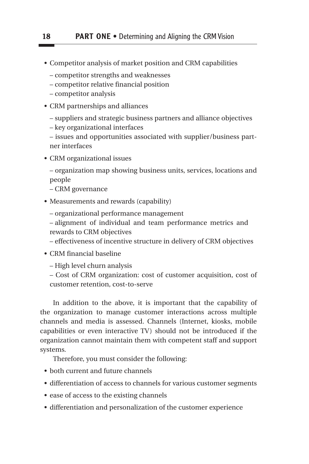- Competitor analysis of market position and CRM capabilities
	- competitor strengths and weaknesses
	- competitor relative financial position
	- competitor analysis
- CRM partnerships and alliances
	- suppliers and strategic business partners and alliance objectives
	- key organizational interfaces
	- issues and opportunities associated with supplier/business partner interfaces
- CRM organizational issues
	- organization map showing business units, services, locations and people
	- CRM governance
- Measurements and rewards (capability)
	- organizational performance management
	- alignment of individual and team performance metrics and rewards to CRM objectives
	- effectiveness of incentive structure in delivery of CRM objectives
- CRM financial baseline
	- High level churn analysis
	- Cost of CRM organization: cost of customer acquisition, cost of customer retention, cost-to-serve

In addition to the above, it is important that the capability of the organization to manage customer interactions across multiple channels and media is assessed. Channels (Internet, kiosks, mobile capabilities or even interactive TV) should not be introduced if the organization cannot maintain them with competent staff and support systems.

Therefore, you must consider the following:

- both current and future channels
- differentiation of access to channels for various customer segments
- ease of access to the existing channels
- differentiation and personalization of the customer experience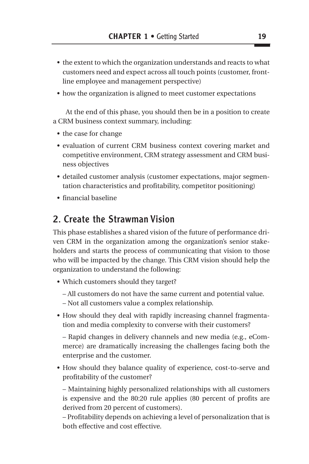- the extent to which the organization understands and reacts to what customers need and expect across all touch points (customer, frontline employee and management perspective)
- how the organization is aligned to meet customer expectations

At the end of this phase, you should then be in a position to create a CRM business context summary, including:

- the case for change
- evaluation of current CRM business context covering market and competitive environment, CRM strategy assessment and CRM business objectives
- detailed customer analysis (customer expectations, major segmentation characteristics and profitability, competitor positioning)
- financial baseline

## 2. Create the Strawman Vision

This phase establishes a shared vision of the future of performance driven CRM in the organization among the organization's senior stakeholders and starts the process of communicating that vision to those who will be impacted by the change. This CRM vision should help the organization to understand the following:

- Which customers should they target?
	- All customers do not have the same current and potential value.
	- Not all customers value a complex relationship.
- How should they deal with rapidly increasing channel fragmentation and media complexity to converse with their customers?

– Rapid changes in delivery channels and new media (e.g., eCommerce) are dramatically increasing the challenges facing both the enterprise and the customer.

• How should they balance quality of experience, cost-to-serve and profitability of the customer?

– Maintaining highly personalized relationships with all customers is expensive and the 80:20 rule applies (80 percent of profits are derived from 20 percent of customers).

– Profitability depends on achieving a level of personalization that is both effective and cost effective.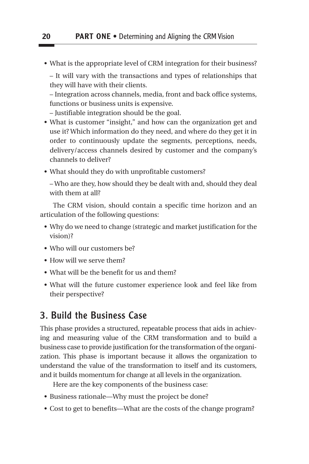• What is the appropriate level of CRM integration for their business?

– It will vary with the transactions and types of relationships that they will have with their clients.

– Integration across channels, media, front and back office systems, functions or business units is expensive.

– Justifiable integration should be the goal.

- What is customer "insight," and how can the organization get and use it? Which information do they need, and where do they get it in order to continuously update the segments, perceptions, needs, delivery/access channels desired by customer and the company's channels to deliver?
- What should they do with unprofitable customers?

– Who are they, how should they be dealt with and, should they deal with them at all?

The CRM vision, should contain a specific time horizon and an articulation of the following questions:

- Why do we need to change (strategic and market justification for the vision)?
- Who will our customers be?
- How will we serve them?
- What will be the benefit for us and them?
- What will the future customer experience look and feel like from their perspective?

## 3. Build the Business Case

This phase provides a structured, repeatable process that aids in achieving and measuring value of the CRM transformation and to build a business case to provide justification for the transformation of the organization. This phase is important because it allows the organization to understand the value of the transformation to itself and its customers, and it builds momentum for change at all levels in the organization.

Here are the key components of the business case:

- Business rationale—Why must the project be done?
- Cost to get to benefits—What are the costs of the change program?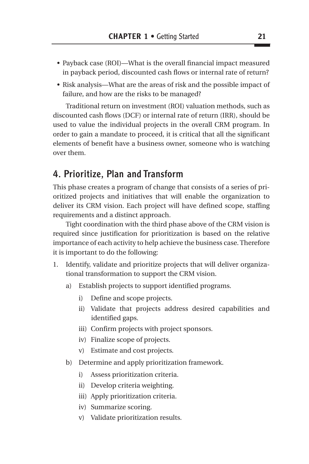- Payback case (ROI)—What is the overall financial impact measured in payback period, discounted cash flows or internal rate of return?
- Risk analysis—What are the areas of risk and the possible impact of failure, and how are the risks to be managed?

Traditional return on investment (ROI) valuation methods, such as discounted cash flows (DCF) or internal rate of return (IRR), should be used to value the individual projects in the overall CRM program. In order to gain a mandate to proceed, it is critical that all the significant elements of benefit have a business owner, someone who is watching over them.

#### 4. Prioritize, Plan and Transform

This phase creates a program of change that consists of a series of prioritized projects and initiatives that will enable the organization to deliver its CRM vision. Each project will have defined scope, staffing requirements and a distinct approach.

Tight coordination with the third phase above of the CRM vision is required since justification for prioritization is based on the relative importance of each activity to help achieve the business case. Therefore it is important to do the following:

- 1. Identify, validate and prioritize projects that will deliver organizational transformation to support the CRM vision.
	- a) Establish projects to support identified programs.
		- i) Define and scope projects.
		- ii) Validate that projects address desired capabilities and identified gaps.
		- iii) Confirm projects with project sponsors.
		- iv) Finalize scope of projects.
		- v) Estimate and cost projects.
	- b) Determine and apply prioritization framework.
		- i) Assess prioritization criteria.
		- ii) Develop criteria weighting.
		- iii) Apply prioritization criteria.
		- iv) Summarize scoring.
		- v) Validate prioritization results.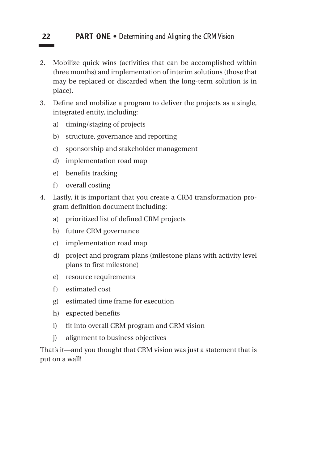- 2. Mobilize quick wins (activities that can be accomplished within three months) and implementation of interim solutions (those that may be replaced or discarded when the long-term solution is in place).
- 3. Define and mobilize a program to deliver the projects as a single, integrated entity, including:
	- a) timing/staging of projects
	- b) structure, governance and reporting
	- c) sponsorship and stakeholder management
	- d) implementation road map
	- e) benefits tracking
	- f) overall costing
- 4. Lastly, it is important that you create a CRM transformation program definition document including:
	- a) prioritized list of defined CRM projects
	- b) future CRM governance
	- c) implementation road map
	- d) project and program plans (milestone plans with activity level plans to first milestone)
	- e) resource requirements
	- f) estimated cost
	- g) estimated time frame for execution
	- h) expected benefits
	- i) fit into overall CRM program and CRM vision
	- j) alignment to business objectives

That's it—and you thought that CRM vision was just a statement that is put on a wall!